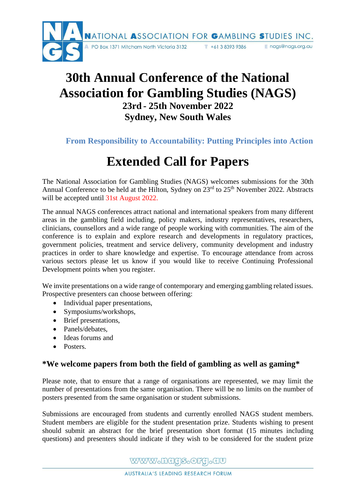

## **30th Annual Conference of the National Association for Gambling Studies (NAGS) 23rd - 25th November 2022 Sydney, New South Wales**

**From Responsibility to Accountability: Putting Principles into Action**

# **Extended Call for Papers**

The National Association for Gambling Studies (NAGS) welcomes submissions for the 30th Annual Conference to be held at the Hilton, Sydney on 23<sup>rd</sup> to 25<sup>th</sup> November 2022. Abstracts will be accepted until 31st August 2022.

The annual NAGS conferences attract national and international speakers from many different areas in the gambling field including, policy makers, industry representatives, researchers, clinicians, counsellors and a wide range of people working with communities. The aim of the conference is to explain and explore research and developments in regulatory practices, government policies, treatment and service delivery, community development and industry practices in order to share knowledge and expertise. To encourage attendance from across various sectors please let us know if you would like to receive Continuing Professional Development points when you register.

We invite presentations on a wide range of contemporary and emerging gambling related issues. Prospective presenters can choose between offering:

- Individual paper presentations,
- Symposiums/workshops,
- Brief presentations,
- Panels/debates.
- Ideas forums and
- Posters.

### **\*We welcome papers from both the field of gambling as well as gaming\***

Please note, that to ensure that a range of organisations are represented, we may limit the number of presentations from the same organisation. There will be no limits on the number of posters presented from the same organisation or student submissions.

Submissions are encouraged from students and currently enrolled NAGS student members. Student members are eligible for the student presentation prize. Students wishing to present should submit an abstract for the brief presentation short format (15 minutes including questions) and presenters should indicate if they wish to be considered for the student prize

WWW.hagS.OFg.au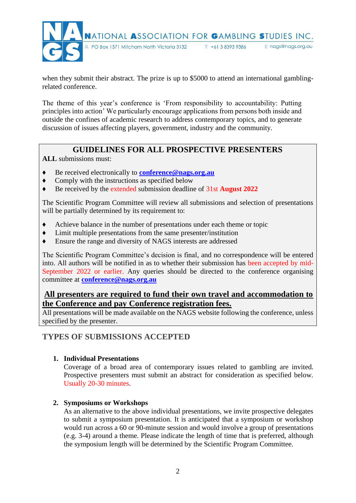

when they submit their abstract. The prize is up to \$5000 to attend an international gamblingrelated conference.

The theme of this year's conference is 'From responsibility to accountability: Putting principles into action' We particularly encourage applications from persons both inside and outside the confines of academic research to address contemporary topics, and to generate discussion of issues affecting players, government, industry and the community.

## **GUIDELINES FOR ALL PROSPECTIVE PRESENTERS**

**ALL** submissions must:

- ♦ Be received electronically to **[conference@nags.org.au](mailto:conference@nags.org.au)**
- ♦ Comply with the instructions as specified below
- ♦ Be received by the extended submission deadline of 31st **August 2022**

The Scientific Program Committee will review all submissions and selection of presentations will be partially determined by its requirement to:

- ♦ Achieve balance in the number of presentations under each theme or topic
- ♦ Limit multiple presentations from the same presenter/institution
- ♦ Ensure the range and diversity of NAGS interests are addressed

The Scientific Program Committee's decision is final, and no correspondence will be entered into. All authors will be notified in as to whether their submission has been accepted by mid-September 2022 or earlier. Any queries should be directed to the conference organising committee at **[conference@nags.org.au](mailto:conference@nags.org.au)**

#### **All presenters are required to fund their own travel and accommodation to the Conference and pay Conference registration fees.**

All presentations will be made available on the NAGS website following the conference, unless specified by the presenter.

#### **TYPES OF SUBMISSIONS ACCEPTED**

#### **1. Individual Presentations**

Coverage of a broad area of contemporary issues related to gambling are invited. Prospective presenters must submit an abstract for consideration as specified below. Usually 20-30 minutes.

#### **2. Symposiums or Workshops**

As an alternative to the above individual presentations, we invite prospective delegates to submit a symposium presentation. It is anticipated that a symposium or workshop would run across a 60 or 90-minute session and would involve a group of presentations (e.g. 3-4) around a theme. Please indicate the length of time that is preferred, although the symposium length will be determined by the Scientific Program Committee.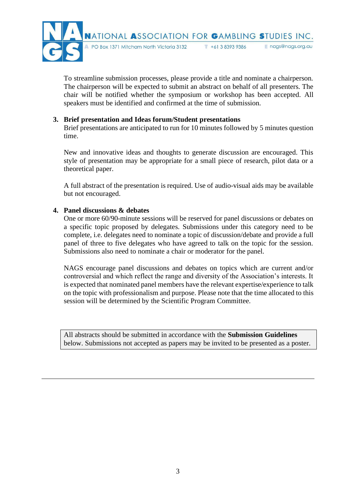

To streamline submission processes, please provide a title and nominate a chairperson. The chairperson will be expected to submit an abstract on behalf of all presenters. The chair will be notified whether the symposium or workshop has been accepted. All speakers must be identified and confirmed at the time of submission.

#### **3. Brief presentation and Ideas forum/Student presentations**

Brief presentations are anticipated to run for 10 minutes followed by 5 minutes question time.

New and innovative ideas and thoughts to generate discussion are encouraged. This style of presentation may be appropriate for a small piece of research, pilot data or a theoretical paper.

A full abstract of the presentation is required. Use of audio-visual aids may be available but not encouraged.

#### **4. Panel discussions & debates**

One or more 60/90-minute sessions will be reserved for panel discussions or debates on a specific topic proposed by delegates. Submissions under this category need to be complete, i.e. delegates need to nominate a topic of discussion/debate and provide a full panel of three to five delegates who have agreed to talk on the topic for the session. Submissions also need to nominate a chair or moderator for the panel.

NAGS encourage panel discussions and debates on topics which are current and/or controversial and which reflect the range and diversity of the Association's interests. It is expected that nominated panel members have the relevant expertise/experience to talk on the topic with professionalism and purpose. Please note that the time allocated to this session will be determined by the Scientific Program Committee.

All abstracts should be submitted in accordance with the **Submission Guidelines** below. Submissions not accepted as papers may be invited to be presented as a poster.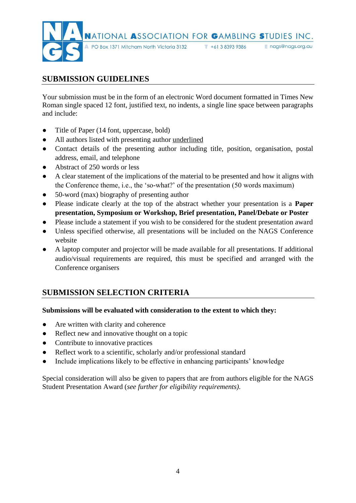

## **SUBMISSION GUIDELINES**

Your submission must be in the form of an electronic Word document formatted in Times New Roman single spaced 12 font, justified text, no indents, a single line space between paragraphs and include:

- Title of Paper (14 font, uppercase, bold)
- All authors listed with presenting author underlined
- Contact details of the presenting author including title, position, organisation, postal address, email, and telephone
- Abstract of 250 words or less
- A clear statement of the implications of the material to be presented and how it aligns with the Conference theme, i.e., the 'so-what?' of the presentation (50 words maximum)
- 50-word (max) biography of presenting author
- Please indicate clearly at the top of the abstract whether your presentation is a **Paper presentation, Symposium or Workshop, Brief presentation, Panel/Debate or Poster**
- Please include a statement if you wish to be considered for the student presentation award
- Unless specified otherwise, all presentations will be included on the NAGS Conference website
- A laptop computer and projector will be made available for all presentations. If additional audio/visual requirements are required, this must be specified and arranged with the Conference organisers

## **SUBMISSION SELECTION CRITERIA**

#### **Submissions will be evaluated with consideration to the extent to which they:**

- Are written with clarity and coherence
- Reflect new and innovative thought on a topic
- Contribute to innovative practices
- Reflect work to a scientific, scholarly and/or professional standard
- Include implications likely to be effective in enhancing participants' knowledge

Special consideration will also be given to papers that are from authors eligible for the NAGS Student Presentation Award (*see further for eligibility requirements).*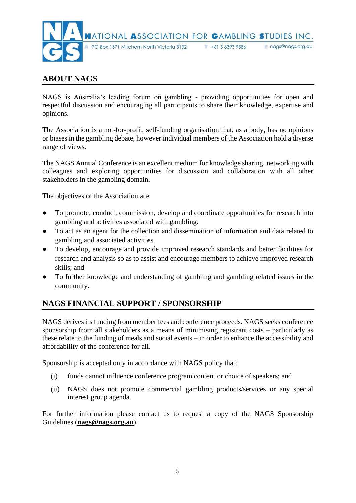

## **ABOUT NAGS**

NAGS is Australia's leading forum on gambling - providing opportunities for open and respectful discussion and encouraging all participants to share their knowledge, expertise and opinions.

The Association is a not-for-profit, self-funding organisation that, as a body, has no opinions or biases in the gambling debate, however individual members of the Association hold a diverse range of views.

The NAGS Annual Conference is an excellent medium for knowledge sharing, networking with colleagues and exploring opportunities for discussion and collaboration with all other stakeholders in the gambling domain.

The objectives of the Association are:

- To promote, conduct, commission, develop and coordinate opportunities for research into gambling and activities associated with gambling.
- To act as an agent for the collection and dissemination of information and data related to gambling and associated activities.
- To develop, encourage and provide improved research standards and better facilities for research and analysis so as to assist and encourage members to achieve improved research skills; and
- To further knowledge and understanding of gambling and gambling related issues in the community.

## **NAGS FINANCIAL SUPPORT / SPONSORSHIP**

NAGS derives its funding from member fees and conference proceeds. NAGS seeks conference sponsorship from all stakeholders as a means of minimising registrant costs – particularly as these relate to the funding of meals and social events – in order to enhance the accessibility and affordability of the conference for all.

Sponsorship is accepted only in accordance with NAGS policy that:

- (i) funds cannot influence conference program content or choice of speakers; and
- (ii) NAGS does not promote commercial gambling products/services or any special interest group agenda.

For further information please contact us to request a copy of the NAGS Sponsorship Guidelines (**[nags@nags.org.au](mailto:nags@nags.org.au)**).